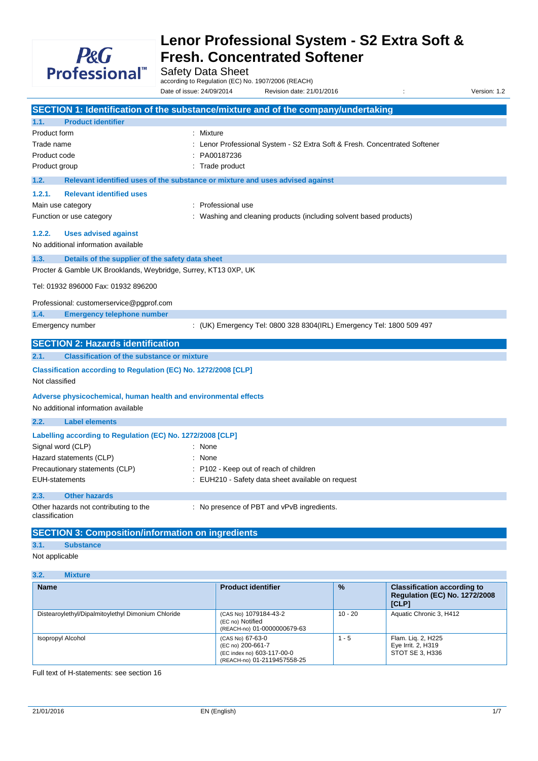

Safety Data Sheet

according to Regulation (EC) No. 1907/2006 (REACH)

Date of issue: 24/09/2014 Revision date: 21/01/2016 : Version: 1.2

|                       |                                                                 | SECTION 1: Identification of the substance/mixture and of the company/undertaking           |
|-----------------------|-----------------------------------------------------------------|---------------------------------------------------------------------------------------------|
| 1.1.                  | <b>Product identifier</b>                                       |                                                                                             |
| Product form          |                                                                 | : Mixture                                                                                   |
| Trade name            |                                                                 | Lenor Professional System - S2 Extra Soft & Fresh. Concentrated Softener                    |
| Product code          |                                                                 | PA00187236                                                                                  |
| Product group         |                                                                 | Trade product                                                                               |
| 1.2.                  |                                                                 | Relevant identified uses of the substance or mixture and uses advised against               |
| 1.2.1.                | <b>Relevant identified uses</b>                                 |                                                                                             |
|                       | Main use category                                               | Professional use                                                                            |
|                       | Function or use category                                        | Washing and cleaning products (including solvent based products)                            |
| 1.2.2.                | <b>Uses advised against</b>                                     |                                                                                             |
|                       | No additional information available                             |                                                                                             |
| 1.3.                  | Details of the supplier of the safety data sheet                |                                                                                             |
|                       | Procter & Gamble UK Brooklands, Weybridge, Surrey, KT13 0XP, UK |                                                                                             |
|                       | Tel: 01932 896000 Fax: 01932 896200                             |                                                                                             |
|                       | Professional: customerservice@pgprof.com                        |                                                                                             |
| 1.4.                  | <b>Emergency telephone number</b>                               |                                                                                             |
|                       | Emergency number                                                | : (UK) Emergency Tel: 0800 328 8304(IRL) Emergency Tel: 1800 509 497                        |
|                       |                                                                 |                                                                                             |
|                       | <b>SECTION 2: Hazards identification</b>                        |                                                                                             |
| 2.1.                  | <b>Classification of the substance or mixture</b>               |                                                                                             |
|                       | Classification according to Regulation (EC) No. 1272/2008 [CLP] |                                                                                             |
| Not classified        |                                                                 |                                                                                             |
|                       | Adverse physicochemical, human health and environmental effects |                                                                                             |
|                       | No additional information available                             |                                                                                             |
| 2.2.                  | <b>Label elements</b>                                           |                                                                                             |
|                       | Labelling according to Regulation (EC) No. 1272/2008 [CLP]      |                                                                                             |
|                       | Signal word (CLP)                                               | None                                                                                        |
|                       |                                                                 | : None                                                                                      |
|                       | Hazard statements (CLP)                                         |                                                                                             |
| <b>EUH-statements</b> | Precautionary statements (CLP)                                  | : P102 - Keep out of reach of children<br>: EUH210 - Safety data sheet available on request |
| 2.3.                  | <b>Other hazards</b>                                            |                                                                                             |
| classification        | Other hazards not contributing to the                           | : No presence of PBT and vPvB ingredients.                                                  |
|                       | <b>SECTION 3: Composition/information on ingredients</b>        |                                                                                             |
| 3.1.                  | <b>Substance</b>                                                |                                                                                             |

### **3.2. Mixture**

| <b>Name</b>                                        | <b>Product identifier</b>                                                                          | $\frac{9}{6}$ | <b>Classification according to</b><br><b>Regulation (EC) No. 1272/2008</b><br>[CLP] |
|----------------------------------------------------|----------------------------------------------------------------------------------------------------|---------------|-------------------------------------------------------------------------------------|
| Distearoylethyl/Dipalmitoylethyl Dimonium Chloride | (CAS No) 1079184-43-2<br>(EC no) Notified<br>(REACH-no) 01-0000000679-63                           | $10 - 20$     | Aquatic Chronic 3, H412                                                             |
| Isopropyl Alcohol                                  | (CAS No) 67-63-0<br>(EC no) 200-661-7<br>(EC index no) 603-117-00-0<br>(REACH-no) 01-2119457558-25 | 1 - 5         | Flam. Lig. 2, H225<br>Eye Irrit. 2, H319<br>STOT SE 3. H336                         |

Full text of H-statements: see section 16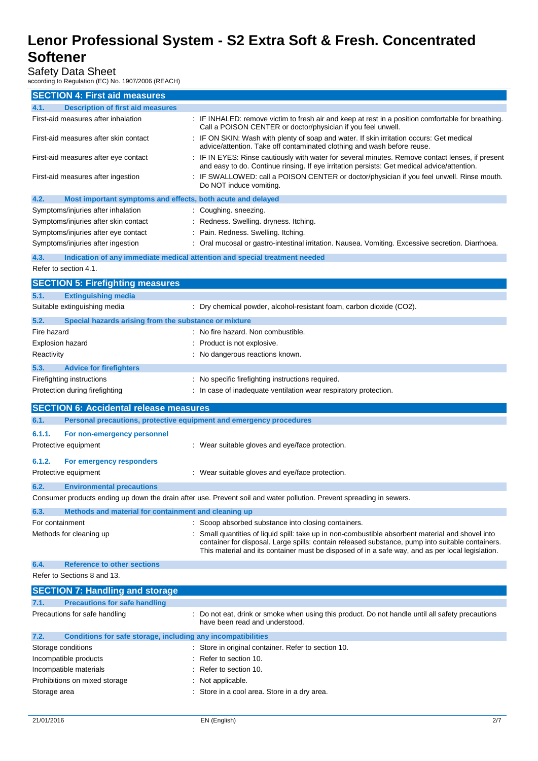## Safety Data Sheet

according to Regulation (EC) No. 1907/2006 (REACH)

| <b>SECTION 4: First aid measures</b>                                 |                                                                                                                                                                                                                                                                                                           |
|----------------------------------------------------------------------|-----------------------------------------------------------------------------------------------------------------------------------------------------------------------------------------------------------------------------------------------------------------------------------------------------------|
| <b>Description of first aid measures</b><br>4.1.                     |                                                                                                                                                                                                                                                                                                           |
| First-aid measures after inhalation                                  | : IF INHALED: remove victim to fresh air and keep at rest in a position comfortable for breathing.<br>Call a POISON CENTER or doctor/physician if you feel unwell.                                                                                                                                        |
| First-aid measures after skin contact                                | : IF ON SKIN: Wash with plenty of soap and water. If skin irritation occurs: Get medical<br>advice/attention. Take off contaminated clothing and wash before reuse.                                                                                                                                       |
| First-aid measures after eye contact                                 | : IF IN EYES: Rinse cautiously with water for several minutes. Remove contact lenses, if present<br>and easy to do. Continue rinsing. If eye irritation persists: Get medical advice/attention.                                                                                                           |
| First-aid measures after ingestion                                   | : IF SWALLOWED: call a POISON CENTER or doctor/physician if you feel unwell. Rinse mouth.<br>Do NOT induce vomiting.                                                                                                                                                                                      |
| 4.2.<br>Most important symptoms and effects, both acute and delayed  |                                                                                                                                                                                                                                                                                                           |
| Symptoms/injuries after inhalation                                   | : Coughing. sneezing.                                                                                                                                                                                                                                                                                     |
| Symptoms/injuries after skin contact                                 | : Redness. Swelling. dryness. Itching.                                                                                                                                                                                                                                                                    |
| Symptoms/injuries after eye contact                                  | Pain. Redness. Swelling. Itching.                                                                                                                                                                                                                                                                         |
| Symptoms/injuries after ingestion                                    | : Oral mucosal or gastro-intestinal irritation. Nausea. Vomiting. Excessive secretion. Diarrhoea.                                                                                                                                                                                                         |
| 4.3.                                                                 | Indication of any immediate medical attention and special treatment needed                                                                                                                                                                                                                                |
| Refer to section 4.1.                                                |                                                                                                                                                                                                                                                                                                           |
| <b>SECTION 5: Firefighting measures</b>                              |                                                                                                                                                                                                                                                                                                           |
| <b>Extinguishing media</b><br>5.1.                                   |                                                                                                                                                                                                                                                                                                           |
| Suitable extinguishing media                                         | : Dry chemical powder, alcohol-resistant foam, carbon dioxide (CO2).                                                                                                                                                                                                                                      |
| 5.2.<br>Special hazards arising from the substance or mixture        |                                                                                                                                                                                                                                                                                                           |
| Fire hazard                                                          | : No fire hazard. Non combustible.                                                                                                                                                                                                                                                                        |
| <b>Explosion hazard</b>                                              | : Product is not explosive.                                                                                                                                                                                                                                                                               |
| Reactivity                                                           | : No dangerous reactions known.                                                                                                                                                                                                                                                                           |
| 5.3.<br><b>Advice for firefighters</b>                               |                                                                                                                                                                                                                                                                                                           |
| Firefighting instructions                                            | : No specific firefighting instructions required.                                                                                                                                                                                                                                                         |
| Protection during firefighting                                       | : In case of inadequate ventilation wear respiratory protection.                                                                                                                                                                                                                                          |
|                                                                      |                                                                                                                                                                                                                                                                                                           |
|                                                                      |                                                                                                                                                                                                                                                                                                           |
| <b>SECTION 6: Accidental release measures</b>                        |                                                                                                                                                                                                                                                                                                           |
| 6.1.                                                                 | Personal precautions, protective equipment and emergency procedures                                                                                                                                                                                                                                       |
| 6.1.1.<br>For non-emergency personnel                                |                                                                                                                                                                                                                                                                                                           |
| Protective equipment                                                 | : Wear suitable gloves and eye/face protection.                                                                                                                                                                                                                                                           |
| 6.1.2.<br>For emergency responders                                   |                                                                                                                                                                                                                                                                                                           |
| Protective equipment                                                 | : Wear suitable gloves and eye/face protection.                                                                                                                                                                                                                                                           |
|                                                                      |                                                                                                                                                                                                                                                                                                           |
| 6.2.<br><b>Environmental precautions</b>                             |                                                                                                                                                                                                                                                                                                           |
|                                                                      | Consumer products ending up down the drain after use. Prevent soil and water pollution. Prevent spreading in sewers.                                                                                                                                                                                      |
| Methods and material for containment and cleaning up<br>6.3.         |                                                                                                                                                                                                                                                                                                           |
| For containment                                                      | : Scoop absorbed substance into closing containers.                                                                                                                                                                                                                                                       |
| Methods for cleaning up                                              | : Small quantities of liquid spill: take up in non-combustible absorbent material and shovel into<br>container for disposal. Large spills: contain released substance, pump into suitable containers.<br>This material and its container must be disposed of in a safe way, and as per local legislation. |
| <b>Reference to other sections</b><br>6.4.                           |                                                                                                                                                                                                                                                                                                           |
| Refer to Sections 8 and 13.                                          |                                                                                                                                                                                                                                                                                                           |
| <b>SECTION 7: Handling and storage</b>                               |                                                                                                                                                                                                                                                                                                           |
| <b>Precautions for safe handling</b><br>7.1.                         |                                                                                                                                                                                                                                                                                                           |
| Precautions for safe handling                                        | : Do not eat, drink or smoke when using this product. Do not handle until all safety precautions<br>have been read and understood.                                                                                                                                                                        |
| Conditions for safe storage, including any incompatibilities<br>7.2. |                                                                                                                                                                                                                                                                                                           |
| Storage conditions                                                   | : Store in original container. Refer to section 10.                                                                                                                                                                                                                                                       |
| Incompatible products                                                | : Refer to section 10.                                                                                                                                                                                                                                                                                    |
| Incompatible materials                                               | : Refer to section 10.                                                                                                                                                                                                                                                                                    |
| Prohibitions on mixed storage                                        | Not applicable.                                                                                                                                                                                                                                                                                           |
| Storage area                                                         | : Store in a cool area. Store in a dry area.                                                                                                                                                                                                                                                              |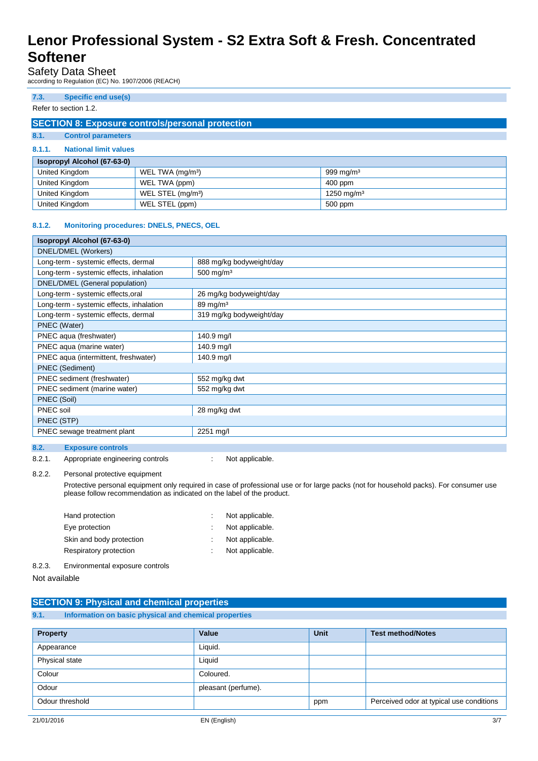### Safety Data Sheet

according to Regulation (EC) No. 1907/2006 (REACH)

### **7.3. Specific end use(s)**

#### Refer to section 1.2.

### **SECTION 8: Exposure controls/personal protection**

### **8.1. Control parameters**

#### **8.1.1. National limit values**

| <b>Isopropyl Alcohol (67-63-0)</b> |                               |                        |  |
|------------------------------------|-------------------------------|------------------------|--|
| United Kingdom                     | WEL TWA (mg/m <sup>3</sup> )  | 999 mg/m $3$           |  |
| United Kingdom                     | WEL TWA (ppm)                 | 400 ppm                |  |
| United Kingdom                     | WEL STEL (mg/m <sup>3</sup> ) | 1250 mg/m <sup>3</sup> |  |
| United Kingdom                     | WEL STEL (ppm)                | 500 ppm                |  |

#### **8.1.2. Monitoring procedures: DNELS, PNECS, OEL**

| Isopropyl Alcohol (67-63-0)              |                          |  |
|------------------------------------------|--------------------------|--|
| DNEL/DMEL (Workers)                      |                          |  |
| Long-term - systemic effects, dermal     | 888 mg/kg bodyweight/day |  |
| Long-term - systemic effects, inhalation | $500$ mg/m <sup>3</sup>  |  |
| DNEL/DMEL (General population)           |                          |  |
| Long-term - systemic effects, oral       | 26 mg/kg bodyweight/day  |  |
| Long-term - systemic effects, inhalation | $89 \,\mathrm{mg/m^3}$   |  |
| Long-term - systemic effects, dermal     | 319 mg/kg bodyweight/day |  |
| PNEC (Water)                             |                          |  |
| PNEC aqua (freshwater)                   | 140.9 mg/l               |  |
| PNEC aqua (marine water)                 | 140.9 mg/l               |  |
| PNEC aqua (intermittent, freshwater)     | 140.9 mg/l               |  |
| <b>PNEC</b> (Sediment)                   |                          |  |
| PNEC sediment (freshwater)               | 552 mg/kg dwt            |  |
| PNEC sediment (marine water)             | 552 mg/kg dwt            |  |
| PNEC (Soil)                              |                          |  |
| PNEC soil                                | 28 mg/kg dwt             |  |
| PNEC (STP)                               |                          |  |
| PNEC sewage treatment plant              | 2251 mg/l                |  |
|                                          |                          |  |
| 8.2.<br><b>Exposure controls</b>         |                          |  |

8.2.1. Appropriate engineering controls : Not applicable.

#### 8.2.2. Personal protective equipment

Protective personal equipment only required in case of professional use or for large packs (not for household packs). For consumer use please follow recommendation as indicated on the label of the product.

| Hand protection          | Not applicable. |
|--------------------------|-----------------|
| Eye protection           | Not applicable. |
| Skin and body protection | Not applicable. |
| Respiratory protection   | Not applicable. |
|                          |                 |

8.2.3. Environmental exposure controls

Not available

|      | <b>SECTION 9: Physical and chemical properties</b>    |
|------|-------------------------------------------------------|
| 9.1. | Information on basic physical and chemical properties |

| <b>Property</b> | Value               | <b>Unit</b> | <b>Test method/Notes</b>                 |
|-----------------|---------------------|-------------|------------------------------------------|
| Appearance      | Liquid.             |             |                                          |
| Physical state  | Liquid              |             |                                          |
| Colour          | Coloured.           |             |                                          |
| Odour           | pleasant (perfume). |             |                                          |
| Odour threshold |                     | ppm         | Perceived odor at typical use conditions |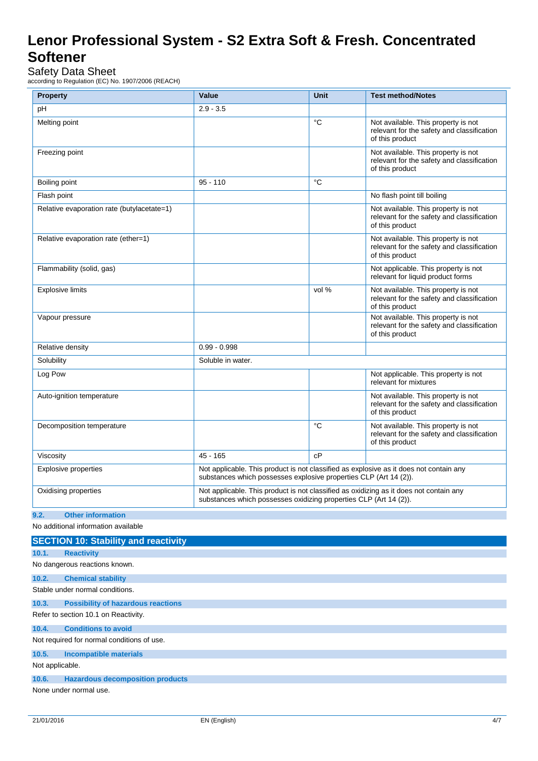# Safety Data Sheet

according to Regulation (EC) No. 1907/2006 (REACH)

| <b>Property</b>                                                                            | Value                                                                                                                                                       | <b>Unit</b> | <b>Test method/Notes</b>                                                                             |  |
|--------------------------------------------------------------------------------------------|-------------------------------------------------------------------------------------------------------------------------------------------------------------|-------------|------------------------------------------------------------------------------------------------------|--|
| pH                                                                                         | $2.9 - 3.5$                                                                                                                                                 |             |                                                                                                      |  |
| Melting point                                                                              |                                                                                                                                                             | ℃           | Not available. This property is not<br>relevant for the safety and classification<br>of this product |  |
| Freezing point                                                                             |                                                                                                                                                             |             | Not available. This property is not<br>relevant for the safety and classification<br>of this product |  |
| Boiling point                                                                              | $95 - 110$                                                                                                                                                  | $^{\circ}C$ |                                                                                                      |  |
| Flash point                                                                                |                                                                                                                                                             |             | No flash point till boiling                                                                          |  |
| Relative evaporation rate (butylacetate=1)                                                 |                                                                                                                                                             |             | Not available. This property is not<br>relevant for the safety and classification<br>of this product |  |
| Relative evaporation rate (ether=1)                                                        |                                                                                                                                                             |             | Not available. This property is not<br>relevant for the safety and classification<br>of this product |  |
| Flammability (solid, gas)                                                                  |                                                                                                                                                             |             | Not applicable. This property is not<br>relevant for liquid product forms                            |  |
| <b>Explosive limits</b>                                                                    |                                                                                                                                                             | vol %       | Not available. This property is not<br>relevant for the safety and classification<br>of this product |  |
| Vapour pressure                                                                            |                                                                                                                                                             |             | Not available. This property is not<br>relevant for the safety and classification<br>of this product |  |
| Relative density                                                                           | $0.99 - 0.998$                                                                                                                                              |             |                                                                                                      |  |
| Solubility                                                                                 | Soluble in water.                                                                                                                                           |             |                                                                                                      |  |
| Log Pow                                                                                    |                                                                                                                                                             |             | Not applicable. This property is not<br>relevant for mixtures                                        |  |
| Auto-ignition temperature                                                                  |                                                                                                                                                             |             | Not available. This property is not<br>relevant for the safety and classification<br>of this product |  |
| Decomposition temperature                                                                  |                                                                                                                                                             | °C          | Not available. This property is not<br>relevant for the safety and classification<br>of this product |  |
| Viscosity                                                                                  | $45 - 165$                                                                                                                                                  | cP          |                                                                                                      |  |
| Explosive properties                                                                       | Not applicable. This product is not classified as explosive as it does not contain any<br>substances which possesses explosive properties CLP (Art 14 (2)). |             |                                                                                                      |  |
| Oxidising properties                                                                       | Not applicable. This product is not classified as oxidizing as it does not contain any<br>substances which possesses oxidizing properties CLP (Art 14 (2)). |             |                                                                                                      |  |
| <b>Other information</b><br>9.2.                                                           |                                                                                                                                                             |             |                                                                                                      |  |
| No additional information available                                                        |                                                                                                                                                             |             |                                                                                                      |  |
| <b>SECTION 10: Stability and reactivity</b>                                                |                                                                                                                                                             |             |                                                                                                      |  |
| 10.1.<br><b>Reactivity</b>                                                                 |                                                                                                                                                             |             |                                                                                                      |  |
| No dangerous reactions known.                                                              |                                                                                                                                                             |             |                                                                                                      |  |
| 10.2.<br><b>Chemical stability</b>                                                         |                                                                                                                                                             |             |                                                                                                      |  |
|                                                                                            | Stable under normal conditions.                                                                                                                             |             |                                                                                                      |  |
| 10.3.<br><b>Possibility of hazardous reactions</b><br>Refer to section 10.1 on Reactivity. |                                                                                                                                                             |             |                                                                                                      |  |
| <b>Conditions to avoid</b><br>10.4.                                                        |                                                                                                                                                             |             |                                                                                                      |  |
| Not required for normal conditions of use.                                                 |                                                                                                                                                             |             |                                                                                                      |  |
| 10.5.<br><b>Incompatible materials</b>                                                     |                                                                                                                                                             |             |                                                                                                      |  |
| Not applicable.                                                                            |                                                                                                                                                             |             |                                                                                                      |  |
| 10.6.<br><b>Hazardous decomposition products</b>                                           |                                                                                                                                                             |             |                                                                                                      |  |
| None under normal use.                                                                     |                                                                                                                                                             |             |                                                                                                      |  |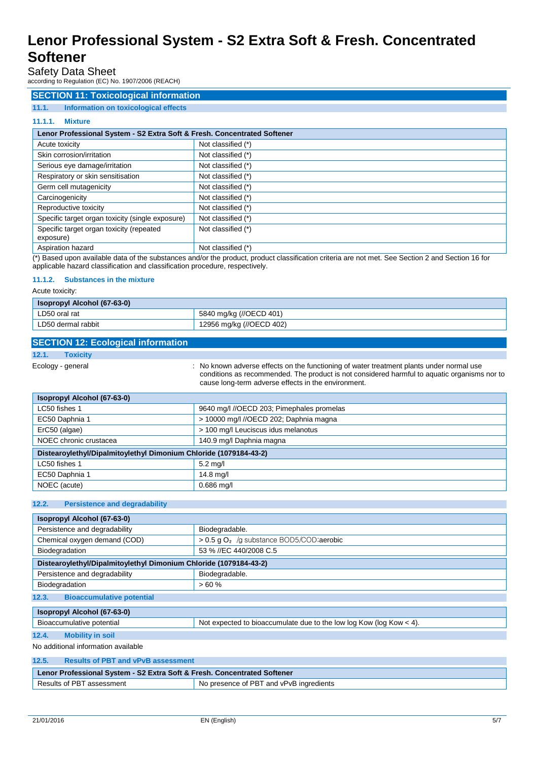### Safety Data Sheet

according to Regulation (EC) No. 1907/2006 (REACH)

### **SECTION 11: Toxicological information**

### **11.1. Information on toxicological effects**

#### **11.1.1. Mixture**

| Lenor Professional System - S2 Extra Soft & Fresh. Concentrated Softener |                                                                       |  |
|--------------------------------------------------------------------------|-----------------------------------------------------------------------|--|
| Acute toxicity                                                           | Not classified (*)                                                    |  |
| Skin corrosion/irritation                                                | Not classified (*)                                                    |  |
| Serious eye damage/irritation                                            | Not classified (*)                                                    |  |
| Respiratory or skin sensitisation                                        | Not classified (*)                                                    |  |
| Germ cell mutagenicity                                                   | Not classified (*)                                                    |  |
| Carcinogenicity                                                          | Not classified (*)                                                    |  |
| Reproductive toxicity                                                    | Not classified (*)                                                    |  |
| Specific target organ toxicity (single exposure)                         | Not classified (*)                                                    |  |
| Specific target organ toxicity (repeated<br>exposure)                    | Not classified (*)                                                    |  |
| Aspiration hazard<br>$\sim$                                              | Not classified (*)<br>.<br>$\sim$ $\sim$<br>$\sim$ $\sim$ $\sim$<br>. |  |

(\*) Based upon available data of the substances and/or the product, product classification criteria are not met. See Section 2 and Section 16 for applicable hazard classification and classification procedure, respectively.

#### **11.1.2. Substances in the mixture**

Acute toxicity:

| Isopropyl Alcohol (67-63-0) |                          |  |
|-----------------------------|--------------------------|--|
| LD50 oral rat               | 5840 mg/kg (//OECD 401)  |  |
| LD50 dermal rabbit          | 12956 mg/kg (//OECD 402) |  |

### **SECTION 12: Ecological information**

**12.1. Toxicity**

Ecology - general **Ecology** - general state of the known adverse effects on the functioning of water treatment plants under normal use conditions as recommended. The product is not considered harmful to aquatic organisms nor to cause long-term adverse effects in the environment.

| <b>Isopropyl Alcohol (67-63-0)</b>                                |                                           |  |
|-------------------------------------------------------------------|-------------------------------------------|--|
| LC50 fishes 1                                                     | 9640 mg/l //OECD 203; Pimephales promelas |  |
| EC50 Daphnia 1                                                    | > 10000 mg/l //OECD 202; Daphnia magna    |  |
| > 100 mg/l Leuciscus idus melanotus<br>ErC50 (algae)              |                                           |  |
| NOEC chronic crustacea                                            | 140.9 mg/l Daphnia magna                  |  |
| Distearoylethyl/Dipalmitoylethyl Dimonium Chloride (1079184-43-2) |                                           |  |
| $5.2$ mg/l<br>LC50 fishes 1                                       |                                           |  |
| EC50 Daphnia 1                                                    | $14.8$ mg/l                               |  |
| NOEC (acute)<br>$0.686$ mg/l                                      |                                           |  |

#### **12.2. Persistence and degradability**

| Isopropyl Alcohol (67-63-0)                                       |                                                                       |  |  |
|-------------------------------------------------------------------|-----------------------------------------------------------------------|--|--|
| Persistence and degradability                                     | Biodegradable.                                                        |  |  |
| Chemical oxygen demand (COD)                                      | $> 0.5$ q O <sub>2</sub> /g substance BOD5/COD; aerobic               |  |  |
| Biodegradation                                                    | 53 % //EC 440/2008 C.5                                                |  |  |
| Distearoylethyl/Dipalmitoylethyl Dimonium Chloride (1079184-43-2) |                                                                       |  |  |
| Persistence and degradability                                     | Biodegradable.                                                        |  |  |
| Biodegradation                                                    | >60%                                                                  |  |  |
| <b>Bioaccumulative potential</b><br>12.3.                         |                                                                       |  |  |
| Isopropyl Alcohol (67-63-0)                                       |                                                                       |  |  |
| Bioaccumulative potential                                         | Not expected to bioaccumulate due to the low log Kow (log Kow $<$ 4). |  |  |
| <b>Mobility in soil</b><br>12.4.                                  |                                                                       |  |  |
| No additional information available                               |                                                                       |  |  |
| ADE<br><b>Dealth of DDT</b> and ODOD assessment                   |                                                                       |  |  |

| 12.5.<br><b>Results of PBT and vPvB assessment</b>                       |                                         |  |
|--------------------------------------------------------------------------|-----------------------------------------|--|
| Lenor Professional System - S2 Extra Soft & Fresh. Concentrated Softener |                                         |  |
| Results of PBT assessment                                                | No presence of PBT and vPvB ingredients |  |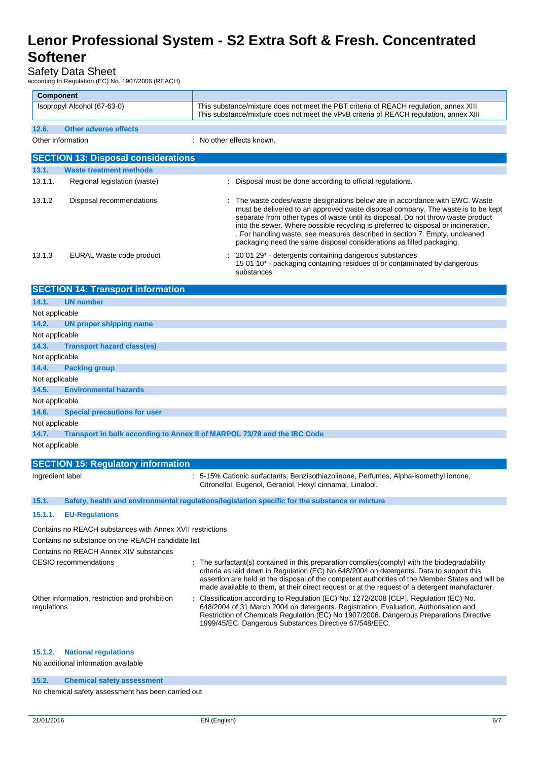### Safety Data Sheet

|                                                                                   | according to Regulation (EC) No. 1907/2006 (REACH) |                                                                                                                                                                                                                                                                                                                                                                                                                                                                                                    |
|-----------------------------------------------------------------------------------|----------------------------------------------------|----------------------------------------------------------------------------------------------------------------------------------------------------------------------------------------------------------------------------------------------------------------------------------------------------------------------------------------------------------------------------------------------------------------------------------------------------------------------------------------------------|
|                                                                                   | <b>Component</b>                                   |                                                                                                                                                                                                                                                                                                                                                                                                                                                                                                    |
|                                                                                   | Isopropyl Alcohol (67-63-0)                        | This substance/mixture does not meet the PBT criteria of REACH regulation, annex XIII<br>This substance/mixture does not meet the vPvB criteria of REACH regulation, annex XIII                                                                                                                                                                                                                                                                                                                    |
| 12.6.                                                                             | <b>Other adverse effects</b>                       |                                                                                                                                                                                                                                                                                                                                                                                                                                                                                                    |
|                                                                                   | Other information                                  | : No other effects known.                                                                                                                                                                                                                                                                                                                                                                                                                                                                          |
|                                                                                   | <b>SECTION 13: Disposal considerations</b>         |                                                                                                                                                                                                                                                                                                                                                                                                                                                                                                    |
| 13.1.                                                                             | <b>Waste treatment methods</b>                     |                                                                                                                                                                                                                                                                                                                                                                                                                                                                                                    |
| 13.1.1.                                                                           | Regional legislation (waste)                       | : Disposal must be done according to official regulations.                                                                                                                                                                                                                                                                                                                                                                                                                                         |
| 13.1.2                                                                            | Disposal recommendations                           | : The waste codes/waste designations below are in accordance with EWC. Waste<br>must be delivered to an approved waste disposal company. The waste is to be kept<br>separate from other types of waste until its disposal. Do not throw waste product<br>into the sewer. Where possible recycling is preferred to disposal or incineration.<br>. For handling waste, see measures described in section 7. Empty, uncleaned<br>packaging need the same disposal considerations as filled packaging. |
| 13.1.3                                                                            | EURAL Waste code product                           | : 20 01 29* - detergents containing dangerous substances<br>15 01 10* - packaging containing residues of or contaminated by dangerous<br>substances                                                                                                                                                                                                                                                                                                                                                |
|                                                                                   | <b>SECTION 14: Transport information</b>           |                                                                                                                                                                                                                                                                                                                                                                                                                                                                                                    |
| 14.1.                                                                             | <b>UN number</b>                                   |                                                                                                                                                                                                                                                                                                                                                                                                                                                                                                    |
| Not applicable                                                                    |                                                    |                                                                                                                                                                                                                                                                                                                                                                                                                                                                                                    |
| 14.2.                                                                             | <b>UN proper shipping name</b>                     |                                                                                                                                                                                                                                                                                                                                                                                                                                                                                                    |
| Not applicable                                                                    |                                                    |                                                                                                                                                                                                                                                                                                                                                                                                                                                                                                    |
| 14.3.                                                                             | <b>Transport hazard class(es)</b>                  |                                                                                                                                                                                                                                                                                                                                                                                                                                                                                                    |
| Not applicable                                                                    |                                                    |                                                                                                                                                                                                                                                                                                                                                                                                                                                                                                    |
| 14.4.                                                                             | <b>Packing group</b>                               |                                                                                                                                                                                                                                                                                                                                                                                                                                                                                                    |
| Not applicable                                                                    |                                                    |                                                                                                                                                                                                                                                                                                                                                                                                                                                                                                    |
| 14.5.                                                                             | <b>Environmental hazards</b>                       |                                                                                                                                                                                                                                                                                                                                                                                                                                                                                                    |
| Not applicable                                                                    |                                                    |                                                                                                                                                                                                                                                                                                                                                                                                                                                                                                    |
| 14.6.                                                                             | <b>Special precautions for user</b>                |                                                                                                                                                                                                                                                                                                                                                                                                                                                                                                    |
| Not applicable                                                                    |                                                    |                                                                                                                                                                                                                                                                                                                                                                                                                                                                                                    |
| 14.7.<br>Transport in bulk according to Annex II of MARPOL 73/78 and the IBC Code |                                                    |                                                                                                                                                                                                                                                                                                                                                                                                                                                                                                    |
| Not applicable                                                                    |                                                    |                                                                                                                                                                                                                                                                                                                                                                                                                                                                                                    |
| <b>SECTION 15: Regulatory information</b>                                         |                                                    |                                                                                                                                                                                                                                                                                                                                                                                                                                                                                                    |
| Ingredient label                                                                  |                                                    | : 5-15% Cationic surfactants; Benzisothiazolinone, Perfumes, Alpha-isomethyl ionone,                                                                                                                                                                                                                                                                                                                                                                                                               |
|                                                                                   |                                                    | Citronellol, Eugenol, Geraniol, Hexyl cinnamal, Linalool.                                                                                                                                                                                                                                                                                                                                                                                                                                          |

#### **15.1. Safety, health and environmental regulations/legislation specific for the substance or mixture**

#### **15.1.1. EU-Regulations**

Contains no REACH substances with Annex XVII restrictions

Contains no substance on the REACH candidate list

Contains no REACH Annex XIV substances

CESIO recommendations : The surfactant(s) contained in this preparation complies(comply) with the biodegradability criteria as laid down in Regulation (EC) No.648/2004 on detergents. Data to support this assertion are held at the disposal of the competent authorities of the Member States and will be made available to them, at their direct request or at the request of a detergent manufacturer.

Other information, restriction and prohibition regulations

: Classification according to Regulation (EC) No. 1272/2008 [CLP]. Regulation (EC) No. 648/2004 of 31 March 2004 on detergents. Registration, Evaluation, Authorisation and Restriction of Chemicals Regulation (EC) No 1907/2006. Dangerous Preparations Directive 1999/45/EC. Dangerous Substances Directive 67/548/EEC.

#### **15.1.2. National regulations**

No additional information available

#### **15.2. Chemical safety assessment**

No chemical safety assessment has been carried out